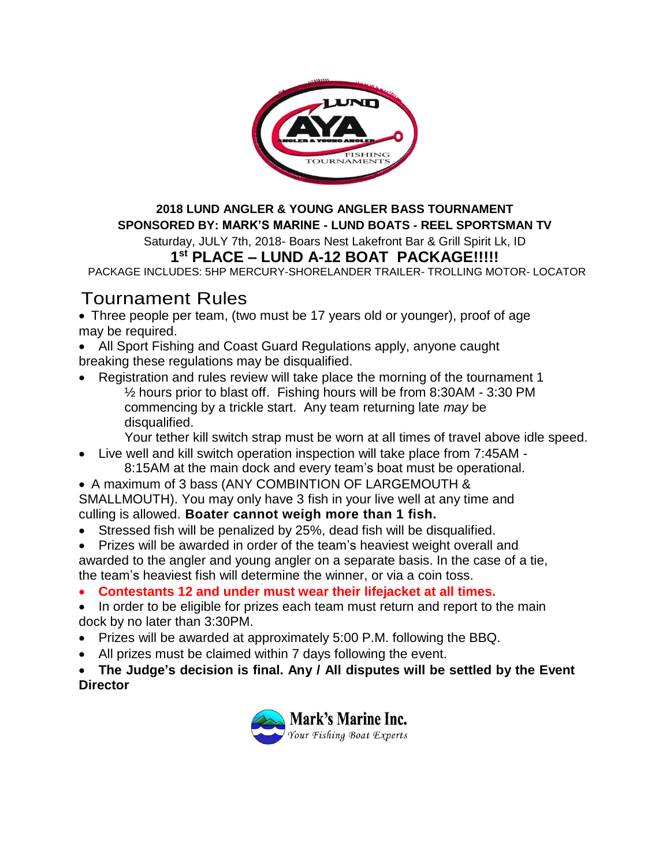

## **2018 LUND ANGLER & YOUNG ANGLER BASS TOURNAMENT SPONSORED BY: MARK'S MARINE - LUND BOATS - REEL SPORTSMAN TV**

Saturday, JULY 7th, 2018- Boars Nest Lakefront Bar & Grill Spirit Lk, ID **1 st PLACE – LUND A-12 BOAT PACKAGE!!!!!**

PACKAGE INCLUDES: 5HP MERCURY-SHORELANDER TRAILER- TROLLING MOTOR- LOCATOR

## Tournament Rules

 Three people per team, (two must be 17 years old or younger), proof of age may be required.

- All Sport Fishing and Coast Guard Regulations apply, anyone caught breaking these regulations may be disqualified.
- Registration and rules review will take place the morning of the tournament 1 ½ hours prior to blast off. Fishing hours will be from 8:30AM - 3:30 PM commencing by a trickle start. Any team returning late *may* be disqualified.

Your tether kill switch strap must be worn at all times of travel above idle speed.

- Live well and kill switch operation inspection will take place from 7:45AM 8:15AM at the main dock and every team's boat must be operational.
- A maximum of 3 bass (ANY COMBINTION OF LARGEMOUTH & SMALLMOUTH). You may only have 3 fish in your live well at any time and culling is allowed. **Boater cannot weigh more than 1 fish.**
- Stressed fish will be penalized by 25%, dead fish will be disqualified.
- Prizes will be awarded in order of the team's heaviest weight overall and awarded to the angler and young angler on a separate basis. In the case of a tie, the team's heaviest fish will determine the winner, or via a coin toss.
- **Contestants 12 and under must wear their lifejacket at all times.**
- In order to be eligible for prizes each team must return and report to the main dock by no later than 3:30PM.
- Prizes will be awarded at approximately 5:00 P.M. following the BBQ.
- All prizes must be claimed within 7 days following the event.

 **The Judge's decision is final. Any / All disputes will be settled by the Event Director**